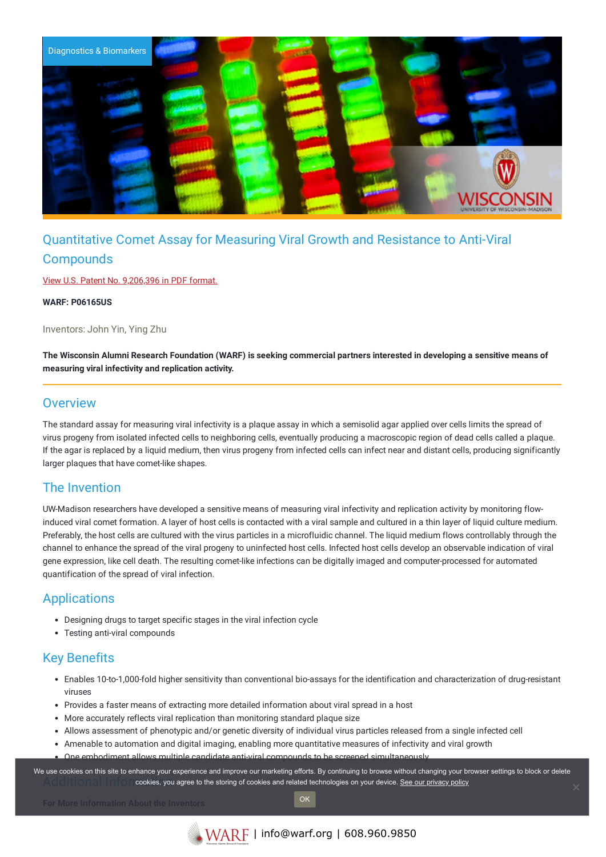

# Quantitative Comet Assay for Measuring Viral Growth and Resistance to Anti-Viral **Compounds**

View U.S. Patent No. [9,206,396](https://www.warf.org/wp-content/uploads/technologies/ipstatus/P06165US.PDF) in PDF format.

**WARF: P06165US**

Inventors: John Yin, Ying Zhu

The Wisconsin Alumni Research Foundation (WARF) is seeking commercial partners interested in developing a sensitive means of **measuring viral infectivity and replication activity.**

#### **Overview**

The standard assay for measuring viral infectivity is a plaque assay in which a semisolid agar applied over cells limits the spread of virus progeny from isolated infected cells to neighboring cells, eventually producing a macroscopic region of dead cells called a plaque. If the agar is replaced by a liquid medium, then virus progeny from infected cells can infect near and distant cells, producing significantly larger plaques that have comet-like shapes.

#### The Invention

UW-Madison researchers have developed a sensitive means of measuring viral infectivity and replication activity by monitoring flowinduced viral comet formation. A layer of host cells is contacted with a viral sample and cultured in a thin layer of liquid culture medium. Preferably, the host cells are cultured with the virus particles in a microfluidic channel. The liquid medium flows controllably through the channel to enhance the spread of the viral progeny to uninfected host cells. Infected host cells develop an observable indication of viral gene expression, like cell death. The resulting comet-like infections can be digitally imaged and computer-processed for automated quantification of the spread of viral infection.

### Applications

- Designing drugs to target specific stages in the viral infection cycle
- Testing anti-viral compounds

## Key Benefits

- Enables 10-to-1,000-fold higher sensitivity than conventional bio-assays for the identification and characterization of drug-resistant viruses
- Provides a faster means of extracting more detailed information about viral spread in a host
- More accurately reflects viral replication than monitoring standard plaque size
- Allows assessment of phenotypic and/or genetic diversity of individual virus particles released from a single infected cell
- Amenable to automation and digital imaging, enabling more quantitative measures of infectivity and viral growth
- One embodiment allows multiple candidate anti-viral compounds to be screened simultaneously

Additional Information cookies, you agree to the storing of cookies and related technologies on your device. [See our privacy policy](https://www.warf.org/privacy-policy/) We use cookies on this site to enhance your experience and improve our marketing efforts. By continuing to browse without changing your browser settings to block or delete

OK